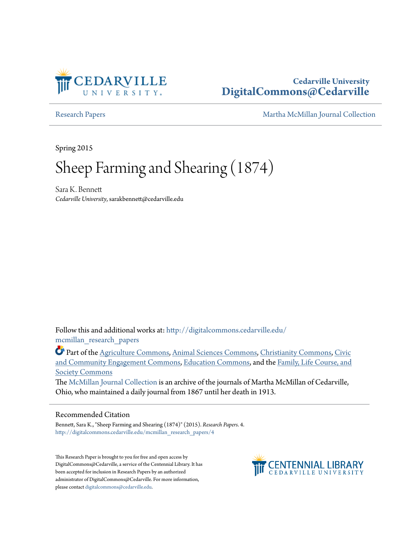

## **Cedarville University [DigitalCommons@Cedarville](http://digitalcommons.cedarville.edu?utm_source=digitalcommons.cedarville.edu%2Fmcmillan_research_papers%2F4&utm_medium=PDF&utm_campaign=PDFCoverPages)**

[Research Papers](http://digitalcommons.cedarville.edu/mcmillan_research_papers?utm_source=digitalcommons.cedarville.edu%2Fmcmillan_research_papers%2F4&utm_medium=PDF&utm_campaign=PDFCoverPages) [Martha McMillan Journal Collection](http://digitalcommons.cedarville.edu/mcmillan_journal_collection?utm_source=digitalcommons.cedarville.edu%2Fmcmillan_research_papers%2F4&utm_medium=PDF&utm_campaign=PDFCoverPages)

Spring 2015

# Sheep Farming and Shearing (1874)

Sara K. Bennett *Cedarville University*, sarakbennett@cedarville.edu

Follow this and additional works at: [http://digitalcommons.cedarville.edu/](http://digitalcommons.cedarville.edu/mcmillan_research_papers?utm_source=digitalcommons.cedarville.edu%2Fmcmillan_research_papers%2F4&utm_medium=PDF&utm_campaign=PDFCoverPages) [mcmillan\\_research\\_papers](http://digitalcommons.cedarville.edu/mcmillan_research_papers?utm_source=digitalcommons.cedarville.edu%2Fmcmillan_research_papers%2F4&utm_medium=PDF&utm_campaign=PDFCoverPages)

Part of the [Agriculture Commons](http://network.bepress.com/hgg/discipline/1076?utm_source=digitalcommons.cedarville.edu%2Fmcmillan_research_papers%2F4&utm_medium=PDF&utm_campaign=PDFCoverPages), [Animal Sciences Commons,](http://network.bepress.com/hgg/discipline/76?utm_source=digitalcommons.cedarville.edu%2Fmcmillan_research_papers%2F4&utm_medium=PDF&utm_campaign=PDFCoverPages) [Christianity Commons](http://network.bepress.com/hgg/discipline/1181?utm_source=digitalcommons.cedarville.edu%2Fmcmillan_research_papers%2F4&utm_medium=PDF&utm_campaign=PDFCoverPages), [Civic](http://network.bepress.com/hgg/discipline/1028?utm_source=digitalcommons.cedarville.edu%2Fmcmillan_research_papers%2F4&utm_medium=PDF&utm_campaign=PDFCoverPages) [and Community Engagement Commons,](http://network.bepress.com/hgg/discipline/1028?utm_source=digitalcommons.cedarville.edu%2Fmcmillan_research_papers%2F4&utm_medium=PDF&utm_campaign=PDFCoverPages) [Education Commons,](http://network.bepress.com/hgg/discipline/784?utm_source=digitalcommons.cedarville.edu%2Fmcmillan_research_papers%2F4&utm_medium=PDF&utm_campaign=PDFCoverPages) and the [Family, Life Course, and](http://network.bepress.com/hgg/discipline/419?utm_source=digitalcommons.cedarville.edu%2Fmcmillan_research_papers%2F4&utm_medium=PDF&utm_campaign=PDFCoverPages) [Society Commons](http://network.bepress.com/hgg/discipline/419?utm_source=digitalcommons.cedarville.edu%2Fmcmillan_research_papers%2F4&utm_medium=PDF&utm_campaign=PDFCoverPages)

The [McMillan Journal Collection](http://digitalcommons.cedarville.edu/mcmillan_journal_collection/) is an archive of the journals of Martha McMillan of Cedarville, Ohio, who maintained a daily journal from 1867 until her death in 1913.

#### Recommended Citation

Bennett, Sara K., "Sheep Farming and Shearing (1874)" (2015). *Research Papers*. 4. [http://digitalcommons.cedarville.edu/mcmillan\\_research\\_papers/4](http://digitalcommons.cedarville.edu/mcmillan_research_papers/4?utm_source=digitalcommons.cedarville.edu%2Fmcmillan_research_papers%2F4&utm_medium=PDF&utm_campaign=PDFCoverPages)

This Research Paper is brought to you for free and open access by DigitalCommons@Cedarville, a service of the Centennial Library. It has been accepted for inclusion in Research Papers by an authorized administrator of DigitalCommons@Cedarville. For more information, please contact [digitalcommons@cedarville.edu.](mailto:digitalcommons@cedarville.edu)

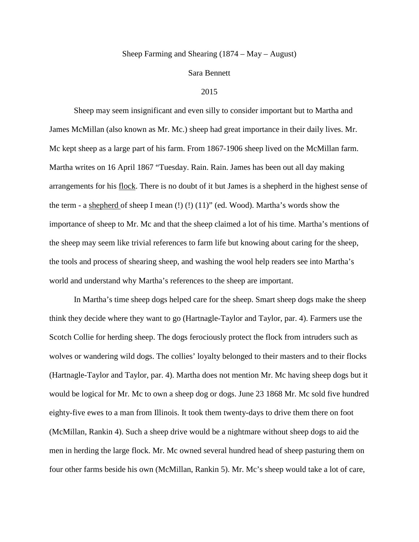### Sheep Farming and Shearing (1874 – May – August)

#### Sara Bennett

#### 2015

Sheep may seem insignificant and even silly to consider important but to Martha and James McMillan (also known as Mr. Mc.) sheep had great importance in their daily lives. Mr. Mc kept sheep as a large part of his farm. From 1867-1906 sheep lived on the McMillan farm. Martha writes on 16 April 1867 "Tuesday. Rain. Rain. James has been out all day making arrangements for his flock. There is no doubt of it but James is a shepherd in the highest sense of the term - a shepherd of sheep I mean  $(!)$   $(!)$   $(11)'$  (ed. Wood). Martha's words show the importance of sheep to Mr. Mc and that the sheep claimed a lot of his time. Martha's mentions of the sheep may seem like trivial references to farm life but knowing about caring for the sheep, the tools and process of shearing sheep, and washing the wool help readers see into Martha's world and understand why Martha's references to the sheep are important.

In Martha's time sheep dogs helped care for the sheep. Smart sheep dogs make the sheep think they decide where they want to go (Hartnagle-Taylor and Taylor, par. 4). Farmers use the Scotch Collie for herding sheep. The dogs ferociously protect the flock from intruders such as wolves or wandering wild dogs. The collies' loyalty belonged to their masters and to their flocks (Hartnagle-Taylor and Taylor, par. 4). Martha does not mention Mr. Mc having sheep dogs but it would be logical for Mr. Mc to own a sheep dog or dogs. June 23 1868 Mr. Mc sold five hundred eighty-five ewes to a man from Illinois. It took them twenty-days to drive them there on foot (McMillan, Rankin 4). Such a sheep drive would be a nightmare without sheep dogs to aid the men in herding the large flock. Mr. Mc owned several hundred head of sheep pasturing them on four other farms beside his own (McMillan, Rankin 5). Mr. Mc's sheep would take a lot of care,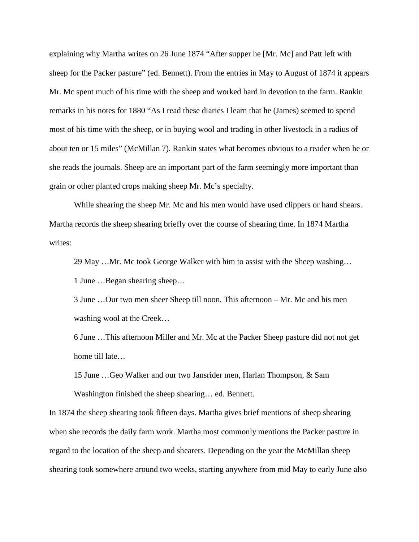explaining why Martha writes on 26 June 1874 "After supper he [Mr. Mc] and Patt left with sheep for the Packer pasture" (ed. Bennett). From the entries in May to August of 1874 it appears Mr. Mc spent much of his time with the sheep and worked hard in devotion to the farm. Rankin remarks in his notes for 1880 "As I read these diaries I learn that he (James) seemed to spend most of his time with the sheep, or in buying wool and trading in other livestock in a radius of about ten or 15 miles" (McMillan 7). Rankin states what becomes obvious to a reader when he or she reads the journals. Sheep are an important part of the farm seemingly more important than grain or other planted crops making sheep Mr. Mc's specialty.

While shearing the sheep Mr. Mc and his men would have used clippers or hand shears. Martha records the sheep shearing briefly over the course of shearing time. In 1874 Martha writes:

29 May …Mr. Mc took George Walker with him to assist with the Sheep washing…

1 June …Began shearing sheep…

3 June …Our two men sheer Sheep till noon. This afternoon – Mr. Mc and his men washing wool at the Creek…

6 June …This afternoon Miller and Mr. Mc at the Packer Sheep pasture did not not get home till late…

15 June …Geo Walker and our two Jansrider men, Harlan Thompson, & Sam Washington finished the sheep shearing… ed. Bennett.

In 1874 the sheep shearing took fifteen days. Martha gives brief mentions of sheep shearing when she records the daily farm work. Martha most commonly mentions the Packer pasture in regard to the location of the sheep and shearers. Depending on the year the McMillan sheep shearing took somewhere around two weeks, starting anywhere from mid May to early June also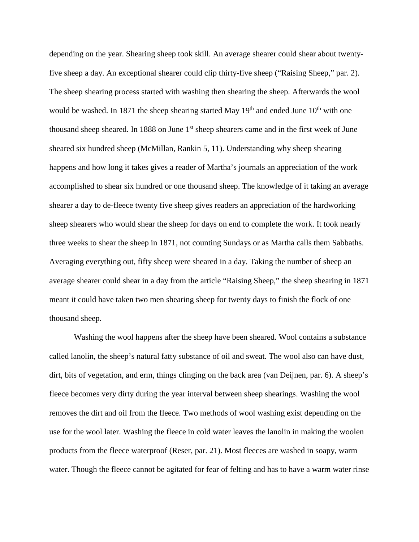depending on the year. Shearing sheep took skill. An average shearer could shear about twentyfive sheep a day. An exceptional shearer could clip thirty-five sheep ("Raising Sheep," par. 2). The sheep shearing process started with washing then shearing the sheep. Afterwards the wool would be washed. In 1871 the sheep shearing started May  $19<sup>th</sup>$  and ended June  $10<sup>th</sup>$  with one thousand sheep sheared. In 1888 on June  $1<sup>st</sup>$  sheep shearers came and in the first week of June sheared six hundred sheep (McMillan, Rankin 5, 11). Understanding why sheep shearing happens and how long it takes gives a reader of Martha's journals an appreciation of the work accomplished to shear six hundred or one thousand sheep. The knowledge of it taking an average shearer a day to de-fleece twenty five sheep gives readers an appreciation of the hardworking sheep shearers who would shear the sheep for days on end to complete the work. It took nearly three weeks to shear the sheep in 1871, not counting Sundays or as Martha calls them Sabbaths. Averaging everything out, fifty sheep were sheared in a day. Taking the number of sheep an average shearer could shear in a day from the article "Raising Sheep," the sheep shearing in 1871 meant it could have taken two men shearing sheep for twenty days to finish the flock of one thousand sheep.

Washing the wool happens after the sheep have been sheared. Wool contains a substance called lanolin, the sheep's natural fatty substance of oil and sweat. The wool also can have dust, dirt, bits of vegetation, and erm, things clinging on the back area (van Deijnen, par. 6). A sheep's fleece becomes very dirty during the year interval between sheep shearings. Washing the wool removes the dirt and oil from the fleece. Two methods of wool washing exist depending on the use for the wool later. Washing the fleece in cold water leaves the lanolin in making the woolen products from the fleece waterproof (Reser, par. 21). Most fleeces are washed in soapy, warm water. Though the fleece cannot be agitated for fear of felting and has to have a warm water rinse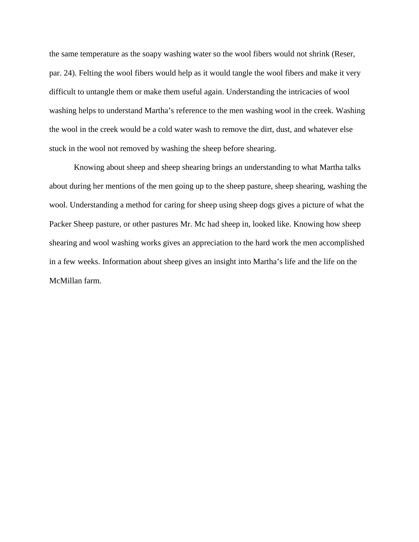the same temperature as the soapy washing water so the wool fibers would not shrink (Reser, par. 24). Felting the wool fibers would help as it would tangle the wool fibers and make it very difficult to untangle them or make them useful again. Understanding the intricacies of wool washing helps to understand Martha's reference to the men washing wool in the creek. Washing the wool in the creek would be a cold water wash to remove the dirt, dust, and whatever else stuck in the wool not removed by washing the sheep before shearing.

Knowing about sheep and sheep shearing brings an understanding to what Martha talks about during her mentions of the men going up to the sheep pasture, sheep shearing, washing the wool. Understanding a method for caring for sheep using sheep dogs gives a picture of what the Packer Sheep pasture, or other pastures Mr. Mc had sheep in, looked like. Knowing how sheep shearing and wool washing works gives an appreciation to the hard work the men accomplished in a few weeks. Information about sheep gives an insight into Martha's life and the life on the McMillan farm.